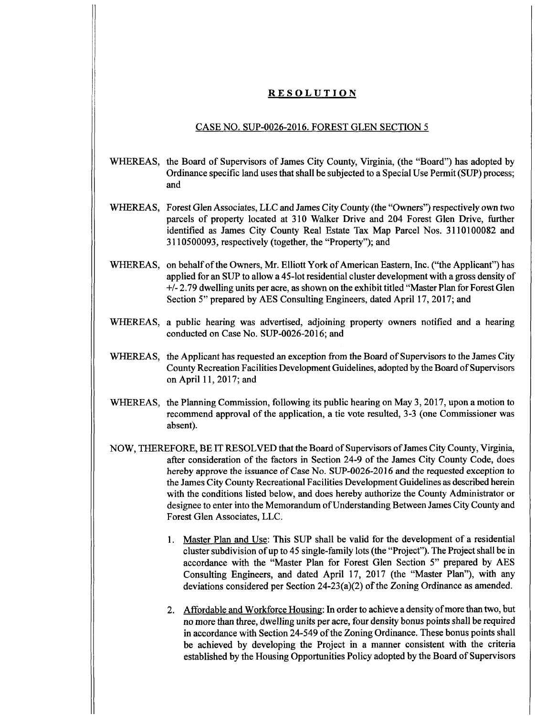## **RESOLUTION**

## CASE NO. SUP-0026-2016. FOREST GLEN SECTION 5

- WHEREAS, the Board of Supervisors of James City County, Virginia, (the "Board") has adopted by Ordinance specific land uses that shall be subjected to a Special Use Permit (SUP) process; and
- WHEREAS, Forest Glen Associates, LLC and James City County (the "Owners") respectively own two parcels of property located at 310 Walker Drive and 204 Forest Glen Drive, further identified as James City County Real Estate Tax Map Parcel Nos. 3110100082 and 3110500093, respectively (together, the "Property"); and
- WHEREAS, on behalf of the Owners, Mr. Elliott York of American Eastern, Inc. ("the Applicant") has applied for an SUP to allow a 45-lot residential cluster development with a gross density of  $+/-2.79$  dwelling units per acre, as shown on the exhibit titled "Master Plan for Forest Glen Section 5" prepared by AES Consulting Engineers, dated April 17, 2017; and
- WHEREAS, a public hearing was advertised, adjoining property owners notified and a hearing conducted on Case No. SUP-0026-2016; and
- WHEREAS, the Applicant has requested an exception from the Board of Supervisors to the James City County Recreation Facilities Development Guidelines, adopted by the Board of Supervisors on April 11, 2017; and
- WHEREAS, the Planning Commission, following its public hearing on May 3, 2017, upon a motion to recommend approval of the application, a tie vote resulted, 3-3 (one Commissioner was absent).
- NOW, THEREFORE, BE IT RESOLVED that the Board of Supervisors of James City County, Virginia, after consideration of the factors in Section 24-9 of the James City County Code, does hereby approve the issuance of Case No. SUP-0026-2016 and the requested exception to the James City County Recreational Facilities Development Guidelines as described herein with the conditions listed below, and does hereby authorize the County Administrator or designee to enter into the Memorandum of Understanding Between James City County and Forest Glen Associates, LLC.
	- 1. Master Plan and Use: This SUP shall be valid for the development of a residential cluster subdivision of up to 45 single-family lots (the "Project"). The Project shall be in accordance with the "Master Plan for Forest Glen Section 5" prepared by AES Consulting Engineers, and dated April 17, 2017 (the "Master Plan"), with any deviations considered per Section  $24-23(a)(2)$  of the Zoning Ordinance as amended.
	- 2. Affordable and Workforce Housing: In order to achieve a density ofmore than two, but no more than three, dwelling units per acre, four density bonus points shall be required in accordance with Section 24-549 of the Zoning Ordinance. These bonus points shall be achieved by developing the Project in a manner consistent with the criteria established by the Housing Opportunities Policy adopted by the Board of Supervisors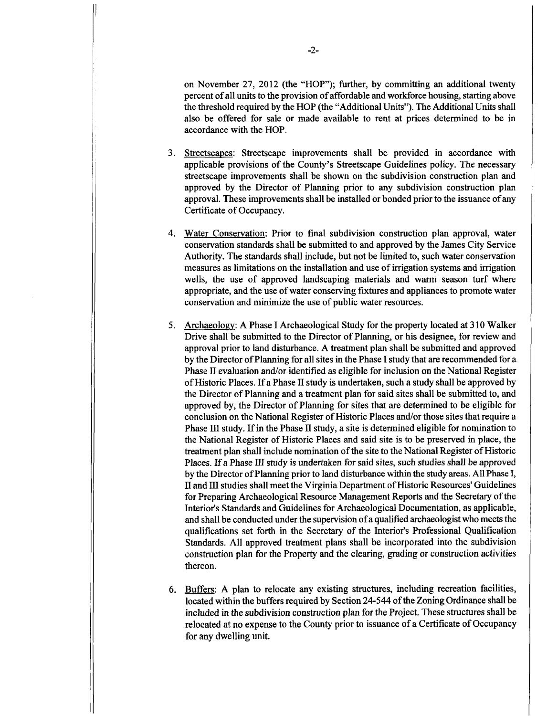on November 27, 2012 (the "HOP"); further, by committing an additional twenty percent of all units to the provision of affordable and workforce housing, starting above the threshold required by the HOP (the "Additional Units"). The Additional Units shall also be offered for sale or made available to rent at prices determined to be in accordance with the HOP.

- 3. Streetscapes; Streetscape improvements shall be provided in accordance with applicable provisions ofthe County's Streetscape Guidelines policy. The necessary streetscape improvements shall be shown on the subdivision construction plan and approved by the Director of Planning prior to any subdivision construction plan approval. These improvements shall be installed or bonded prior to the issuance ofany Certificate of Occupancy.
- 4. Water Conservation: Prior to final subdivision construction plan approval, water conservation standards shall be submitted to and approved by the James City Service Authority. The standards shall include, but not be limited to, such water conservation measures as limitations on the installation and use of irrigation systems and irrigation wells, the use of approved landscaping materials and warm season turf where appropriate, and the use ofwater conserving fixtures and appliances to promote water conservation and minimize the use of public water resources.
- 5. Archaeology: A Phase I Archaeological Study for the property located at 310 Walker Drive shall be submitted to the Director of Planning, or his designee, for review and approval prior to land disturbance. A treatment plan shall be submitted and approved by the Director ofPlanning for all sites in the Phase I study that are recommended for a Phase II evaluation and/or identified as eligible for inclusion on the National Register of Historic Places. If a Phase II study is undertaken, such a study shall be approved by the Director of Planning and a treatment plan for said sites shall be submitted to, and approved by, the Director of Planning for sites that are determined to be eligible for conclusion on the National Register of Historic Places and/or those sites that require a Phase III study. If in the Phase II study, a site is determined eligible for nomination to the National Register of Historic Places and said site is to be preserved in place, the treatment plan shall include nomination of the site to the National Register of Historic Places. If a Phase III study is undertaken for said sites, such studies shall be approved by the Director ofPlanning prior to land disturbance within the study areas. All Phase I, II and III studies shall meet the Virginia Department ofHistoric Resources' Guidelines for Preparing Archaeological Resource Management Reports and the Secretary ofthe Interior's Standards and Guidelines for Archaeological Documentation, as applicable, and shall be conducted under the supervision of a qualified archaeologist who meets the qualifications set forth in the Secretary of the Interior's Professional Qualification Standards. All approved treatment plans shall be incorporated into the subdivision construction plan for the Property and the clearing, grading or construction activities thereon.
- 6. Buffers: A plan to relocate any existing structures, including recreation facilities, located within the buffers required by Section 24-544 of the Zoning Ordinance shall be included in the subdivision construction plan for the Project. These structures shall be relocated at no expense to the County prior to issuance of a Certificate of Occupancy for any dwelling unit.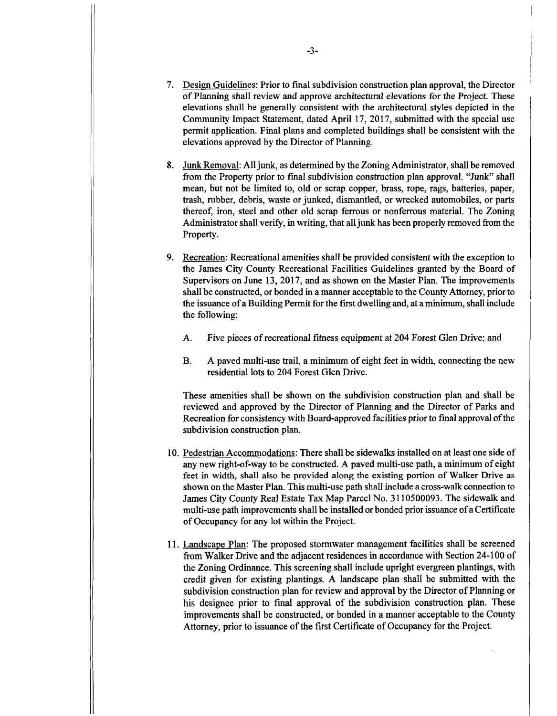- 7. Design Guidelines: Prior to final subdivision construction plan approval, the Director of Planning shall review and approve architectural elevations for the Project. These elevations shall be generally consistent with the architectural styles depicted in the Community Impact Statement, dated April 17, 2017, submitted with the special use permit application. Final plans and completed buildings shall be consistent with the elevations approved by the Director of Planning.
- Junk Removal: Alljunk, as determined by the Zoning Administrator, shall be removed from the Property prior to final subdivision construction plan approval. "Junk" shall mean, but not be limited to, old or scrap copper, brass, rope, rags, batteries, paper, trash, rubber, debris, waste or junked, dismantled, or wrecked automobiles, or parts thereof, iron, steel and other old scrap ferrous or nonferrous material. The Zoning Administrator shall verify, in writing, that alljunk has been properly removed from the Property. 8.
- 9. Recreation: Recreational amenities shall be provided consistent with the exception to the James City County Recreational Facilities Guidelines granted by the Board of Supervisors on June 13, 2017, and as shown on the Master Plan. The improvements shall be constructed, or bonded in amanner acceptable to the County Attorney, priorto the issuance of a Building Permit for the first dwelling and, at a minimum, shall include the following:
	- A. Five pieces of recreational fitness equipment at 204 Forest Glen Drive; and
	- A paved multi-use trail, a minimum of eight feet in width, connecting the new residential lots to 204 Forest Glen Drive. B.

These amenities shall be shown on the subdivision construction plan and shall be reviewed and approved by the Director of Planning and the Director of Parks and Recreation for consistency with Board-approved facilities prior to final approval of the subdivision construction plan.

- 10. Pedestrian Accommodations: There shall be sidewalks installed on at least one side of any new right-of-way to be constructed. A paved multi-use path, a minimum of eight feet in width, shall also be provided along the existing portion of Walker Drive as shown on the Master Plan. This multi-use path shall include a cross-walk connection to James City County Real Estate Tax Map Parcel No. 3110500093. The sidewalk and multi-use path improvements shall be installed or bonded prior issuance ofa Certificate of Occupancy for any lot within the Project.
- 11. Landscape Plan: The proposed stormwater management facilities shall be screened from Walker Drive and the adjacent residences in accordance with Section 24-100 of the Zoning Ordinance. This screening shall include upright evergreen plantings, with credit given for existing plantings. A landscape plan shall be submitted with the subdivision construction plan for review and approval by the Director of Planning or his designee prior to final approval of the subdivision construction plan. These improvements shall be constructed, or bonded in a manner acceptable to the County Attorney, prior to issuance of the first Certificate of Occupancy for the Project.